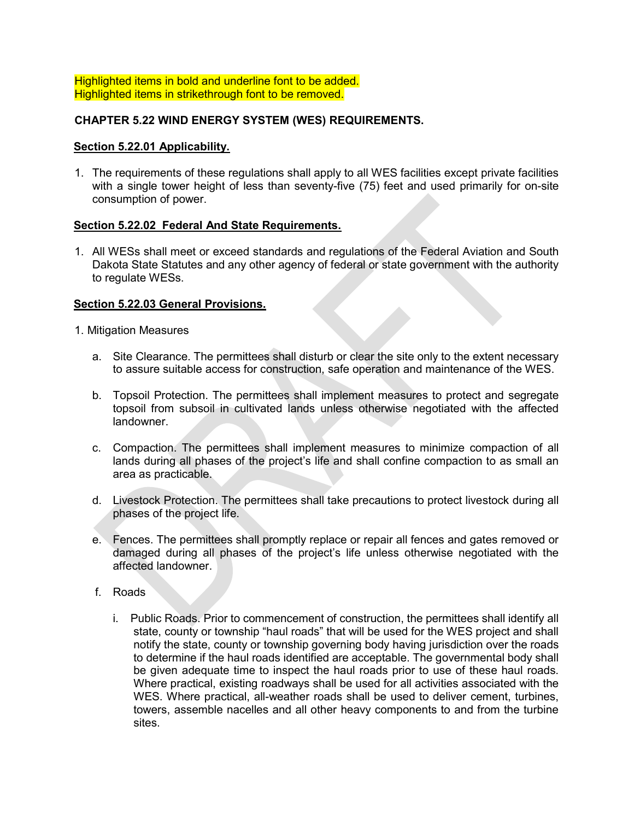Highlighted items in bold and underline font to be added. Highlighted items in strikethrough font to be removed.

# CHAPTER 5.22 WIND ENERGY SYSTEM (WES) REQUIREMENTS.

#### Section 5.22.01 Applicability.

1. The requirements of these regulations shall apply to all WES facilities except private facilities with a single tower height of less than seventy-five (75) feet and used primarily for on-site consumption of power.

## Section 5.22.02 Federal And State Requirements.

1. All WESs shall meet or exceed standards and regulations of the Federal Aviation and South Dakota State Statutes and any other agency of federal or state government with the authority to regulate WESs.

## Section 5.22.03 General Provisions.

- 1. Mitigation Measures
	- a. Site Clearance. The permittees shall disturb or clear the site only to the extent necessary to assure suitable access for construction, safe operation and maintenance of the WES.
	- b. Topsoil Protection. The permittees shall implement measures to protect and segregate topsoil from subsoil in cultivated lands unless otherwise negotiated with the affected landowner.
	- c. Compaction. The permittees shall implement measures to minimize compaction of all lands during all phases of the project's life and shall confine compaction to as small an area as practicable.
	- d. Livestock Protection. The permittees shall take precautions to protect livestock during all phases of the project life.
	- e. Fences. The permittees shall promptly replace or repair all fences and gates removed or damaged during all phases of the project's life unless otherwise negotiated with the affected landowner.
	- f. Roads
		- i. Public Roads. Prior to commencement of construction, the permittees shall identify all state, county or township "haul roads" that will be used for the WES project and shall notify the state, county or township governing body having jurisdiction over the roads to determine if the haul roads identified are acceptable. The governmental body shall be given adequate time to inspect the haul roads prior to use of these haul roads. Where practical, existing roadways shall be used for all activities associated with the WES. Where practical, all-weather roads shall be used to deliver cement, turbines, towers, assemble nacelles and all other heavy components to and from the turbine sites.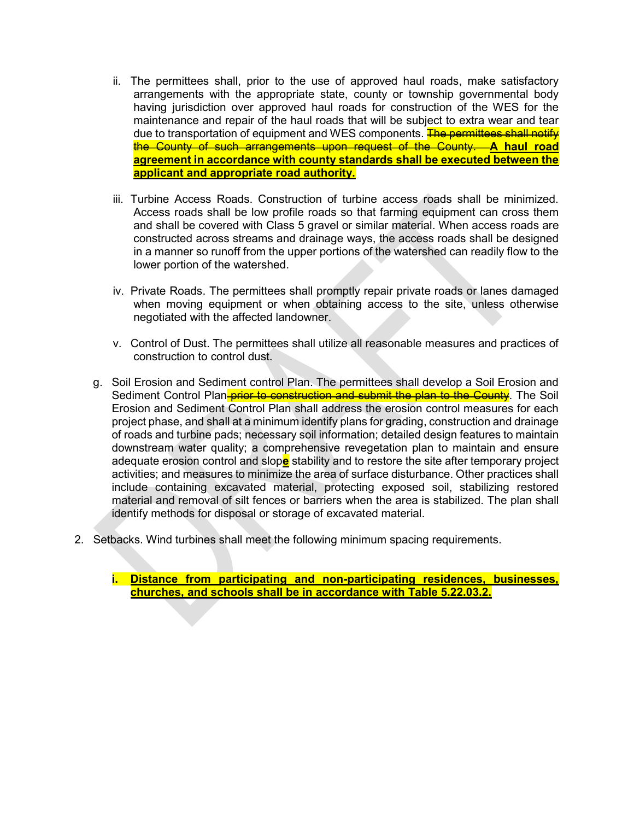- ii. The permittees shall, prior to the use of approved haul roads, make satisfactory arrangements with the appropriate state, county or township governmental body having jurisdiction over approved haul roads for construction of the WES for the maintenance and repair of the haul roads that will be subject to extra wear and tear due to transportation of equipment and WES components. The permittees shall notify the County of such arrangements upon request of the County. A haul road agreement in accordance with county standards shall be executed between the applicant and appropriate road authority.
- iii. Turbine Access Roads. Construction of turbine access roads shall be minimized. Access roads shall be low profile roads so that farming equipment can cross them and shall be covered with Class 5 gravel or similar material. When access roads are constructed across streams and drainage ways, the access roads shall be designed in a manner so runoff from the upper portions of the watershed can readily flow to the lower portion of the watershed.
- iv. Private Roads. The permittees shall promptly repair private roads or lanes damaged when moving equipment or when obtaining access to the site, unless otherwise negotiated with the affected landowner.
- v. Control of Dust. The permittees shall utilize all reasonable measures and practices of construction to control dust.
- g. Soil Erosion and Sediment control Plan. The permittees shall develop a Soil Erosion and Sediment Control Plan prior to construction and submit the plan to the County. The Soil Erosion and Sediment Control Plan shall address the erosion control measures for each project phase, and shall at a minimum identify plans for grading, construction and drainage of roads and turbine pads; necessary soil information; detailed design features to maintain downstream water quality; a comprehensive revegetation plan to maintain and ensure adequate erosion control and slope stability and to restore the site after temporary project activities; and measures to minimize the area of surface disturbance. Other practices shall include containing excavated material, protecting exposed soil, stabilizing restored material and removal of silt fences or barriers when the area is stabilized. The plan shall identify methods for disposal or storage of excavated material.
- 2. Setbacks. Wind turbines shall meet the following minimum spacing requirements.

i. Distance from participating and non-participating residences, businesses, churches, and schools shall be in accordance with Table 5.22.03.2.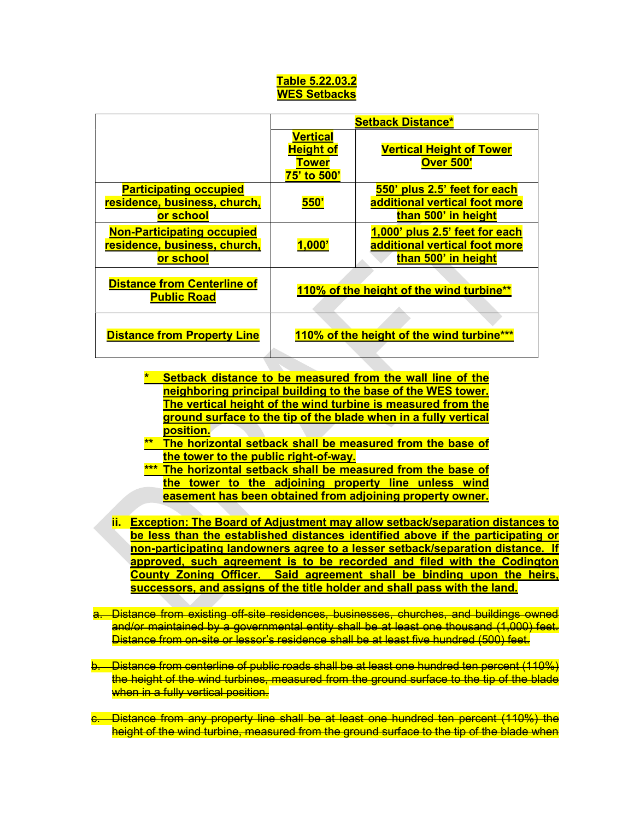#### Table 5.22.03.2 WES Setbacks

|                                                                                | <b>Setback Distance*</b>                                           |                                                                                        |
|--------------------------------------------------------------------------------|--------------------------------------------------------------------|----------------------------------------------------------------------------------------|
|                                                                                | <b>Vertical</b><br><b>Height of</b><br><b>Tower</b><br>75' to 500' | <b>Vertical Height of Tower</b><br><b>Over 500'</b>                                    |
| <b>Participating occupied</b><br>residence, business, church,<br>or school     | 550'                                                               | 550' plus 2.5' feet for each<br>additional vertical foot more<br>than 500' in height   |
| <b>Non-Participating occupied</b><br>residence, business, church,<br>or school | 1,000'                                                             | 1,000' plus 2.5' feet for each<br>additional vertical foot more<br>than 500' in height |
| <b>Distance from Centerline of</b><br><b>Public Road</b>                       | 110% of the height of the wind turbine**                           |                                                                                        |
| <b>Distance from Property Line</b>                                             | 110% of the height of the wind turbine***                          |                                                                                        |

- Setback distance to be measured from the wall line of the neighboring principal building to the base of the WES tower. The vertical height of the wind turbine is measured from the ground surface to the tip of the blade when in a fully vertical position.
- \*\* The horizontal setback shall be measured from the base of the tower to the public right-of-way.
- \*\*\* The horizontal setback shall be measured from the base of the tower to the adjoining property line unless wind easement has been obtained from adjoining property owner.
- ii. Exception: The Board of Adjustment may allow setback/separation distances to be less than the established distances identified above if the participating or non-participating landowners agree to a lesser setback/separation distance. If approved, such agreement is to be recorded and filed with the Codington County Zoning Officer. Said agreement shall be binding upon the heirs, successors, and assigns of the title holder and shall pass with the land.
- a. Distance from existing off-site residences, businesses, churches, and buildings owned and/or maintained by a governmental entity shall be at least one thousand (1,000) feet. Distance from on-site or lessor's residence shall be at least five hundred (500) feet.
- b. Distance from centerline of public roads shall be at least one hundred ten percent (110%) the height of the wind turbines, measured from the ground surface to the tip of the blade when in a fully vertical position.
- c. Distance from any property line shall be at least one hundred ten percent (110%) the height of the wind turbine, measured from the ground surface to the tip of the blade when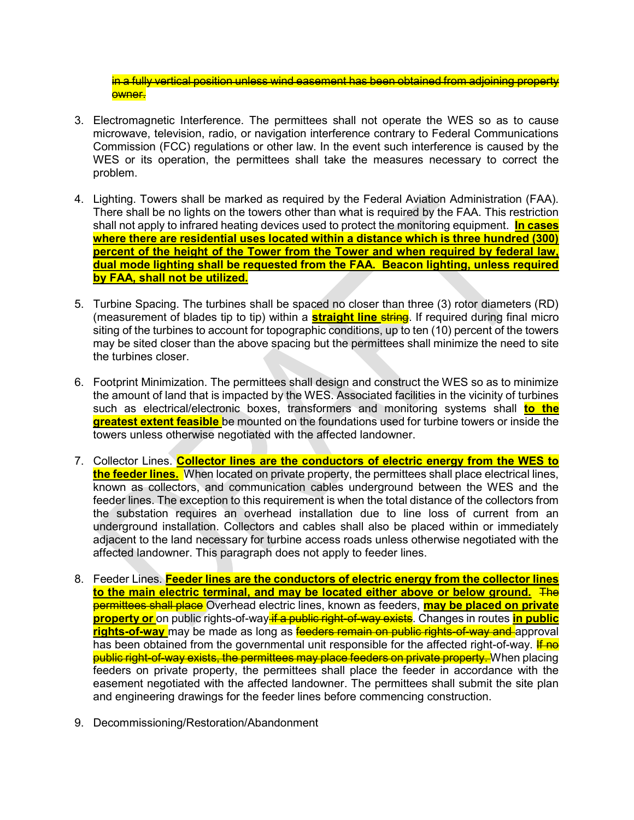in a fully vertical position unless wind easement has been obtained from adjoining property owner.

- 3. Electromagnetic Interference. The permittees shall not operate the WES so as to cause microwave, television, radio, or navigation interference contrary to Federal Communications Commission (FCC) regulations or other law. In the event such interference is caused by the WES or its operation, the permittees shall take the measures necessary to correct the problem.
- 4. Lighting. Towers shall be marked as required by the Federal Aviation Administration (FAA). There shall be no lights on the towers other than what is required by the FAA. This restriction shall not apply to infrared heating devices used to protect the monitoring equipment. In cases where there are residential uses located within a distance which is three hundred (300) percent of the height of the Tower from the Tower and when required by federal law, dual mode lighting shall be requested from the FAA. Beacon lighting, unless required by FAA, shall not be utilized.
- 5. Turbine Spacing. The turbines shall be spaced no closer than three (3) rotor diameters (RD) (measurement of blades tip to tip) within a **straight line string**. If required during final micro siting of the turbines to account for topographic conditions, up to ten (10) percent of the towers may be sited closer than the above spacing but the permittees shall minimize the need to site the turbines closer.
- 6. Footprint Minimization. The permittees shall design and construct the WES so as to minimize the amount of land that is impacted by the WES. Associated facilities in the vicinity of turbines such as electrical/electronic boxes, transformers and monitoring systems shall to the greatest extent feasible be mounted on the foundations used for turbine towers or inside the towers unless otherwise negotiated with the affected landowner.
- 7. Collector Lines. Collector lines are the conductors of electric energy from the WES to the feeder lines. When located on private property, the permittees shall place electrical lines, known as collectors, and communication cables underground between the WES and the feeder lines. The exception to this requirement is when the total distance of the collectors from the substation requires an overhead installation due to line loss of current from an underground installation. Collectors and cables shall also be placed within or immediately adjacent to the land necessary for turbine access roads unless otherwise negotiated with the affected landowner. This paragraph does not apply to feeder lines.
- 8. Feeder Lines. Feeder lines are the conductors of electric energy from the collector lines to the main electric terminal, and may be located either above or below ground. The permittees shall place Overhead electric lines, known as feeders, may be placed on private property or on public rights-of-way if a public right-of-way exists. Changes in routes in public rights-of-way may be made as long as feeders remain on public rights-of-way and approval has been obtained from the governmental unit responsible for the affected right-of-way. If no public right-of-way exists, the permittees may place feeders on private property. When placing feeders on private property, the permittees shall place the feeder in accordance with the easement negotiated with the affected landowner. The permittees shall submit the site plan and engineering drawings for the feeder lines before commencing construction.
- 9. Decommissioning/Restoration/Abandonment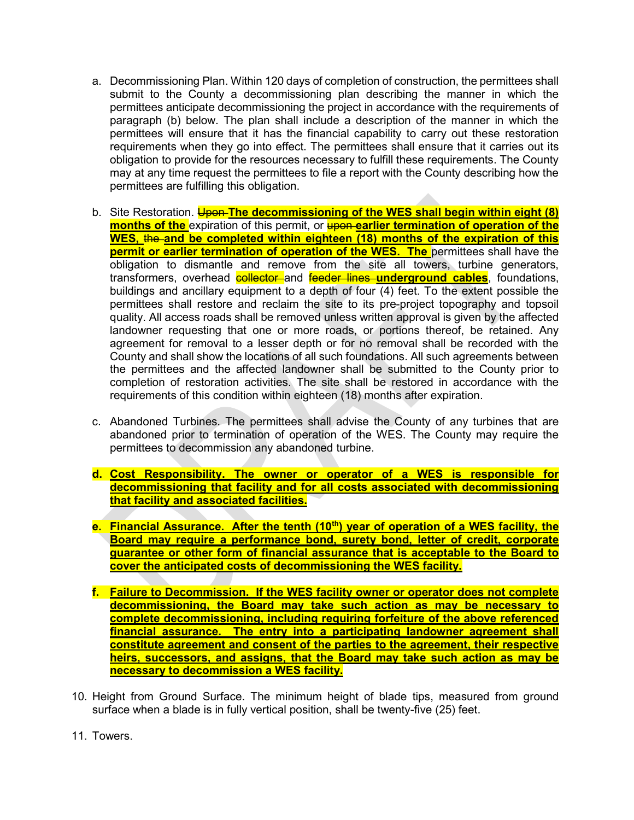- a. Decommissioning Plan. Within 120 days of completion of construction, the permittees shall submit to the County a decommissioning plan describing the manner in which the permittees anticipate decommissioning the project in accordance with the requirements of paragraph (b) below. The plan shall include a description of the manner in which the permittees will ensure that it has the financial capability to carry out these restoration requirements when they go into effect. The permittees shall ensure that it carries out its obligation to provide for the resources necessary to fulfill these requirements. The County may at any time request the permittees to file a report with the County describing how the permittees are fulfilling this obligation.
- b. Site Restoration. Upon-The decommissioning of the WES shall begin within eight (8) months of the expiration of this permit, or **upon-earlier termination of operation of the** WES, the and be completed within eighteen (18) months of the expiration of this permit or earlier termination of operation of the WES. The permittees shall have the obligation to dismantle and remove from the site all towers, turbine generators, transformers, overhead collector and feeder lines underground cables, foundations, buildings and ancillary equipment to a depth of four (4) feet. To the extent possible the permittees shall restore and reclaim the site to its pre-project topography and topsoil quality. All access roads shall be removed unless written approval is given by the affected landowner requesting that one or more roads, or portions thereof, be retained. Any agreement for removal to a lesser depth or for no removal shall be recorded with the County and shall show the locations of all such foundations. All such agreements between the permittees and the affected landowner shall be submitted to the County prior to completion of restoration activities. The site shall be restored in accordance with the requirements of this condition within eighteen (18) months after expiration.
- c. Abandoned Turbines. The permittees shall advise the County of any turbines that are abandoned prior to termination of operation of the WES. The County may require the permittees to decommission any abandoned turbine.
- d. Cost Responsibility. The owner or operator of a WES is responsible for decommissioning that facility and for all costs associated with decommissioning that facility and associated facilities.
- e. Financial Assurance. After the tenth (10<sup>th</sup>) year of operation of a WES facility, the Board may require a performance bond, surety bond, letter of credit, corporate guarantee or other form of financial assurance that is acceptable to the Board to cover the anticipated costs of decommissioning the WES facility.
- f. Failure to Decommission. If the WES facility owner or operator does not complete decommissioning, the Board may take such action as may be necessary to complete decommissioning, including requiring forfeiture of the above referenced financial assurance. The entry into a participating landowner agreement shall constitute agreement and consent of the parties to the agreement, their respective heirs, successors, and assigns, that the Board may take such action as may be necessary to decommission a WES facility.
- 10. Height from Ground Surface. The minimum height of blade tips, measured from ground surface when a blade is in fully vertical position, shall be twenty-five (25) feet.
- 11. Towers.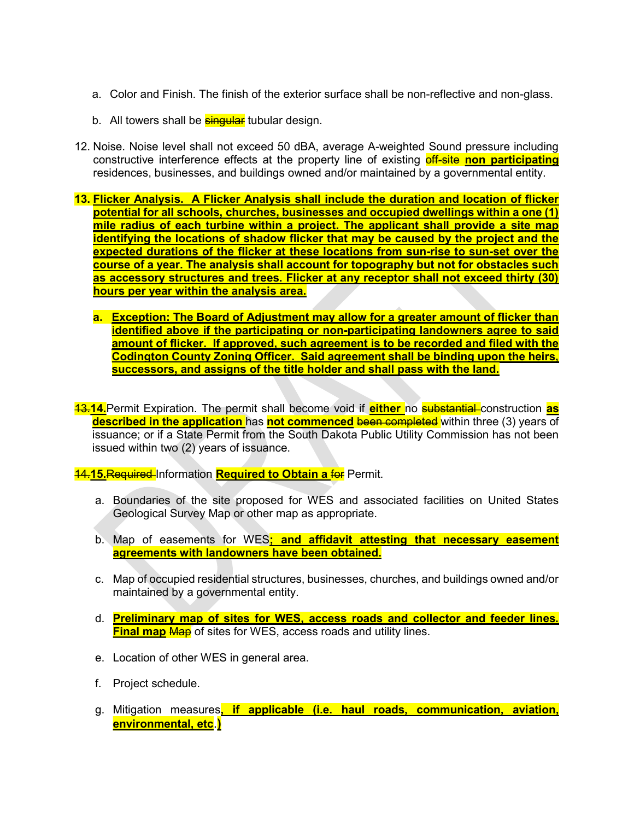- a. Color and Finish. The finish of the exterior surface shall be non-reflective and non-glass.
- b. All towers shall be **singular** tubular design.
- 12. Noise. Noise level shall not exceed 50 dBA, average A-weighted Sound pressure including constructive interference effects at the property line of existing **off-site non participating** residences, businesses, and buildings owned and/or maintained by a governmental entity.
- 13. Flicker Analysis. A Flicker Analysis shall include the duration and location of flicker potential for all schools, churches, businesses and occupied dwellings within a one (1) mile radius of each turbine within a project. The applicant shall provide a site map identifying the locations of shadow flicker that may be caused by the project and the expected durations of the flicker at these locations from sun-rise to sun-set over the course of a year. The analysis shall account for topography but not for obstacles such as accessory structures and trees. Flicker at any receptor shall not exceed thirty (30) hours per year within the analysis area.
	- a. Exception: The Board of Adjustment may allow for a greater amount of flicker than identified above if the participating or non-participating landowners agree to said amount of flicker. If approved, such agreement is to be recorded and filed with the Codington County Zoning Officer. Said agreement shall be binding upon the heirs, successors, and assigns of the title holder and shall pass with the land.
- 13.14. Permit Expiration. The permit shall become void if **either** no substantial construction as described in the application has not commenced been completed within three (3) years of issuance; or if a State Permit from the South Dakota Public Utility Commission has not been issued within two (2) years of issuance.

14.15. Required Information Required to Obtain a for Permit.

- a. Boundaries of the site proposed for WES and associated facilities on United States Geological Survey Map or other map as appropriate.
- b. Map of easements for WES; and affidavit attesting that necessary easement agreements with landowners have been obtained.
- c. Map of occupied residential structures, businesses, churches, and buildings owned and/or maintained by a governmental entity.
- d. Preliminary map of sites for WES, access roads and collector and feeder lines. Final map Map of sites for WES, access roads and utility lines.
- e. Location of other WES in general area.
- f. Project schedule.
- g. Mitigation measures, if applicable (i.e. haul roads, communication, aviation, environmental, etc.)